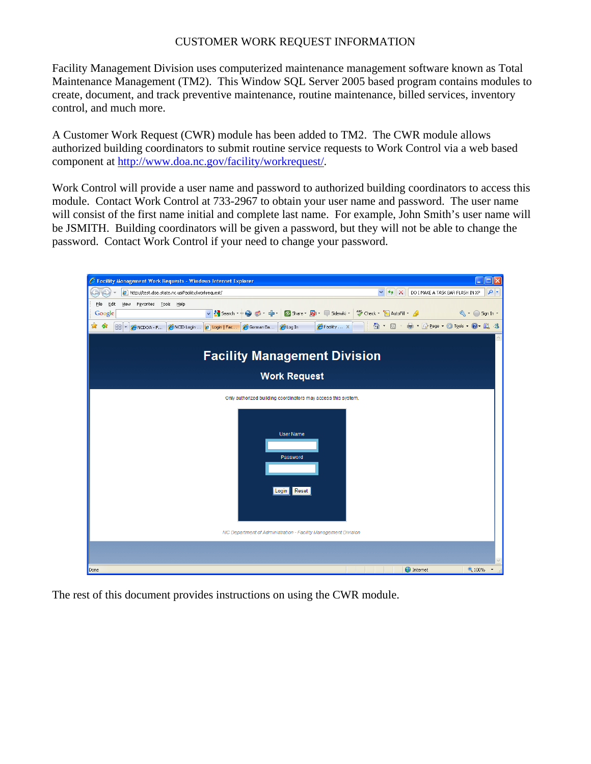# CUSTOMER WORK REQUEST INFORMATION

Facility Management Division uses computerized maintenance management software known as Total Maintenance Management (TM2). This Window SQL Server 2005 based program contains modules to create, document, and track preventive maintenance, routine maintenance, billed services, inventory control, and much more.

A Customer Work Request (CWR) module has been added to TM2. The CWR module allows authorized building coordinators to submit routine service requests to Work Control via a web based component at [http://www.doa.nc.gov/facility/workrequest/.](http://www.doa.nc.gov/facility/workrequest/)

Work Control will provide a user name and password to authorized building coordinators to access this module. Contact Work Control at 733-2967 to obtain your user name and password. The user name will consist of the first name initial and complete last name. For example, John Smith's user name will be JSMITH. Building coordinators will be given a password, but they will not be able to change the password. Contact Work Control if your need to change your password.



The rest of this document provides instructions on using the CWR module.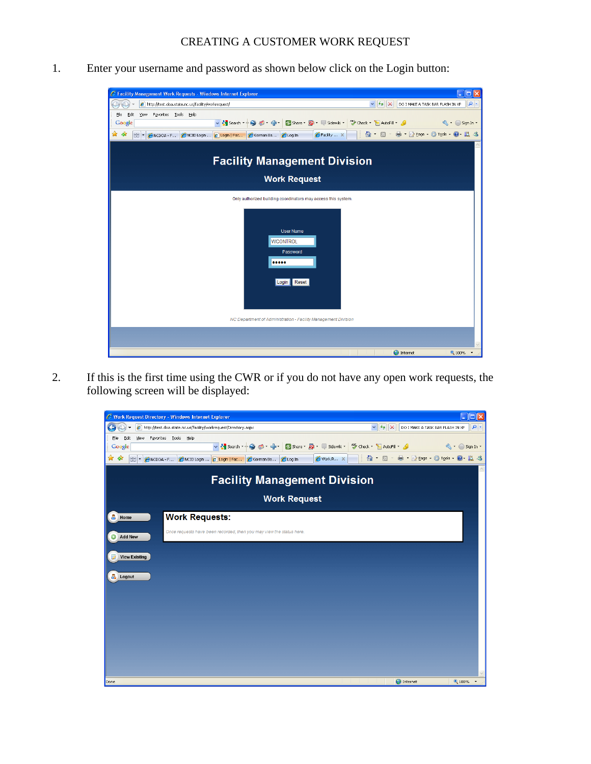1. Enter your username and password as shown below click on the Login button:



2. If this is the first time using the CWR or if you do not have any open work requests, the following screen will be displayed:

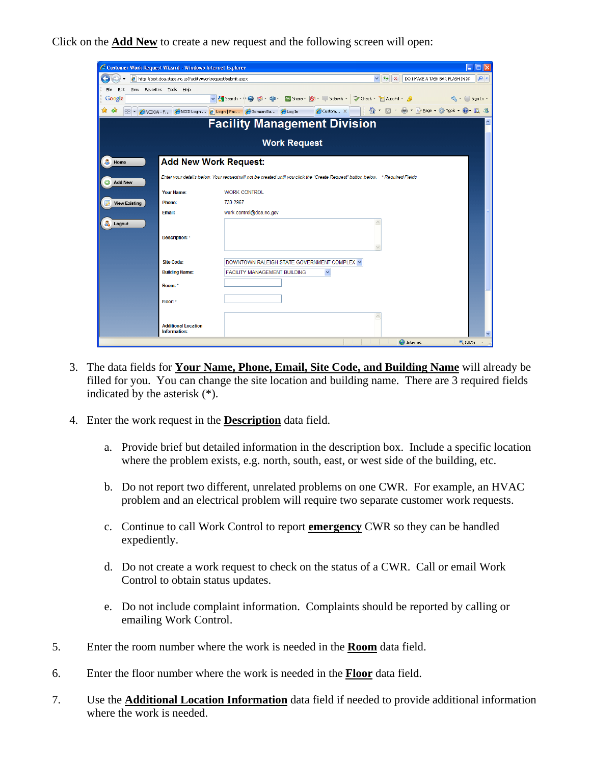Click on the **Add New** to create a new request and the following screen will open:

|                                     | C Customer Work Request Wizard - Windows Internet Explorer     |                                                                                                                                 | п                                                                                                  |  |  |  |  |  |
|-------------------------------------|----------------------------------------------------------------|---------------------------------------------------------------------------------------------------------------------------------|----------------------------------------------------------------------------------------------------|--|--|--|--|--|
|                                     | e http://test.doa.state.nc.us/facility/workrequest/submit.aspx |                                                                                                                                 | $\vee$ $\left  \left  \right  \right  \times$<br>- م<br>DO I MAKE A TASK BAR FLASH IN XP           |  |  |  |  |  |
| View<br>File<br>Edit                | Favorites Tools Help                                           |                                                                                                                                 |                                                                                                    |  |  |  |  |  |
| Google                              |                                                                |                                                                                                                                 | v Search + 9 6 + + 2 Share + 9 + 5 Share + 8 + 5 Sidewiki + 4 Check + E AutoFill + 4 + 6 Sign In + |  |  |  |  |  |
| ✿<br>48<br>88 -                     |                                                                | Custom X<br>ANCDOA - F CNCID Login  2 Login   Fac C Gorman Ba CLog In                                                           | 合 同 由 Erege + Gi Took + O 以 さ                                                                      |  |  |  |  |  |
| <b>Facility Management Division</b> |                                                                |                                                                                                                                 |                                                                                                    |  |  |  |  |  |
|                                     |                                                                | <b>Work Request</b>                                                                                                             |                                                                                                    |  |  |  |  |  |
|                                     |                                                                |                                                                                                                                 |                                                                                                    |  |  |  |  |  |
| Α<br>Home                           | <b>Add New Work Request:</b>                                   |                                                                                                                                 |                                                                                                    |  |  |  |  |  |
| <b>Add New</b>                      |                                                                | Enter your details below. Your request will not be created until you click the "Create Request" button below. * Required Fields |                                                                                                    |  |  |  |  |  |
|                                     | <b>Your Name:</b>                                              | <b>WORK CONTROL</b>                                                                                                             |                                                                                                    |  |  |  |  |  |
| <b>View Existing</b>                | <b>Phone:</b>                                                  | 733-2967                                                                                                                        |                                                                                                    |  |  |  |  |  |
|                                     | Email:                                                         | work.control@doa.nc.gov                                                                                                         |                                                                                                    |  |  |  |  |  |
| å.<br>Logout                        |                                                                |                                                                                                                                 |                                                                                                    |  |  |  |  |  |
|                                     | Description: *                                                 |                                                                                                                                 |                                                                                                    |  |  |  |  |  |
|                                     |                                                                |                                                                                                                                 |                                                                                                    |  |  |  |  |  |
|                                     | <b>Site Code:</b>                                              | DOWNTOWN RALEIGH STATE GOVERNMENT COMPLEX V                                                                                     |                                                                                                    |  |  |  |  |  |
|                                     | <b>Building Name:</b>                                          | <b>FACILITY MANAGEMENT BUILDING</b><br>×                                                                                        |                                                                                                    |  |  |  |  |  |
|                                     | Room: *                                                        |                                                                                                                                 |                                                                                                    |  |  |  |  |  |
|                                     | Floor: *                                                       |                                                                                                                                 |                                                                                                    |  |  |  |  |  |
|                                     |                                                                |                                                                                                                                 |                                                                                                    |  |  |  |  |  |
|                                     | <b>Additional Location</b><br>Information:                     |                                                                                                                                 | $\checkmark$                                                                                       |  |  |  |  |  |
|                                     |                                                                |                                                                                                                                 | nternet<br><b>4 100%</b>                                                                           |  |  |  |  |  |

- 3. The data fields for **Your Name, Phone, Email, Site Code, and Building Name** will already be filled for you. You can change the site location and building name. There are 3 required fields indicated by the asterisk (\*).
- 4. Enter the work request in the **Description** data field.
	- a. Provide brief but detailed information in the description box. Include a specific location where the problem exists, e.g. north, south, east, or west side of the building, etc.
	- b. Do not report two different, unrelated problems on one CWR. For example, an HVAC problem and an electrical problem will require two separate customer work requests.
	- c. Continue to call Work Control to report **emergency** CWR so they can be handled expediently.
	- d. Do not create a work request to check on the status of a CWR. Call or email Work Control to obtain status updates.
	- e. Do not include complaint information. Complaints should be reported by calling or emailing Work Control.
- 5. Enter the room number where the work is needed in the **Room** data field.
- 6. Enter the floor number where the work is needed in the **Floor** data field.
- 7. Use the **Additional Location Information** data field if needed to provide additional information where the work is needed.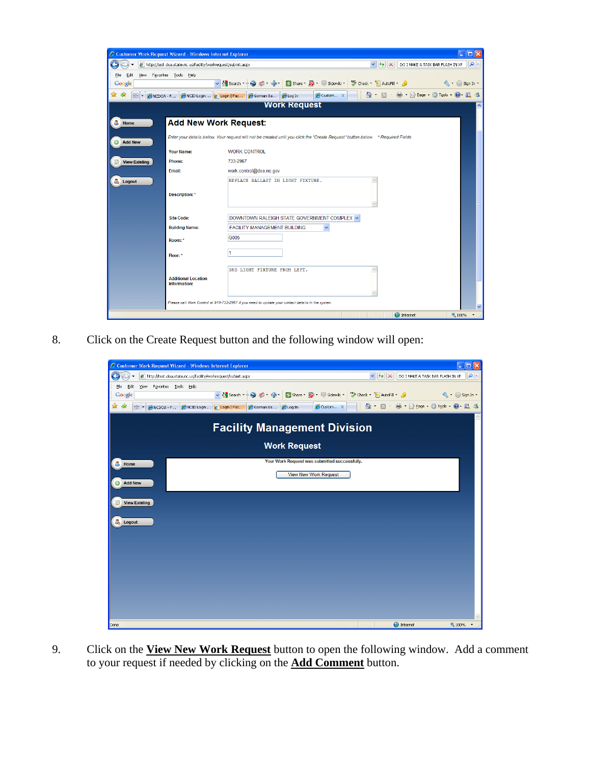| C Customer Work Request Wizard - Windows Internet Explorer                                                                                                |                                            |                                                                                                                                    |  |  |  |  |  |
|-----------------------------------------------------------------------------------------------------------------------------------------------------------|--------------------------------------------|------------------------------------------------------------------------------------------------------------------------------------|--|--|--|--|--|
| - م<br>$\vee$ $\frac{1}{2}$ $\times$<br>http://test.doa.state.nc.us/facility/workrequest/submit.aspx<br>DO I MAKE A TASK BAR FLASH IN XP                  |                                            |                                                                                                                                    |  |  |  |  |  |
| Favorites Tools Help<br>View<br>File<br>Edit                                                                                                              |                                            |                                                                                                                                    |  |  |  |  |  |
| Google                                                                                                                                                    |                                            | $\leftarrow$ Sign In $\cdot$                                                                                                       |  |  |  |  |  |
| 5 · ● · Brege · Or Tools ● 以 3<br>$\wedge$ .<br>Custom X<br>মী<br>48<br>ANCID Login <b>C</b> Login   Fac <b>C</b> Gorman Ba<br><b>CLog In</b><br>ANCDOA-F |                                            |                                                                                                                                    |  |  |  |  |  |
| <b>Work Request</b>                                                                                                                                       |                                            |                                                                                                                                    |  |  |  |  |  |
| A<br>Home                                                                                                                                                 | <b>Add New Work Request:</b>               |                                                                                                                                    |  |  |  |  |  |
| <b>Add New</b>                                                                                                                                            |                                            | Enter your details below. Your request will not be created until you click the "Create Request" button below. * Required Fields    |  |  |  |  |  |
|                                                                                                                                                           | Your Name:                                 | <b>WORK CONTROL</b>                                                                                                                |  |  |  |  |  |
| <b>View Existing</b>                                                                                                                                      | Phone:                                     | 733-2967                                                                                                                           |  |  |  |  |  |
|                                                                                                                                                           | Email:                                     | work.control@doa.nc.gov                                                                                                            |  |  |  |  |  |
| Logout                                                                                                                                                    | <b>Description:</b> *                      | REPLACE BALLAST IN LIGHT FIXTURE.                                                                                                  |  |  |  |  |  |
|                                                                                                                                                           | <b>Site Code:</b>                          | DOWNTOWN RALEIGH STATE GOVERNMENT COMPLEX V                                                                                        |  |  |  |  |  |
|                                                                                                                                                           | <b>Building Name:</b>                      | FACILITY MANAGEMENT BUILDING<br>$\checkmark$                                                                                       |  |  |  |  |  |
|                                                                                                                                                           | Room: *                                    | G005                                                                                                                               |  |  |  |  |  |
|                                                                                                                                                           | Floor: *                                   | 1                                                                                                                                  |  |  |  |  |  |
|                                                                                                                                                           | <b>Additional Location</b><br>Information: | 3RD LIGHT FIXTURE FROM LEFT.<br>Please call Work Control at 919-733-2967 if you need to update your contact details in the system. |  |  |  |  |  |
|                                                                                                                                                           |                                            | v<br><b>O</b> Internet<br>4 100%                                                                                                   |  |  |  |  |  |

8. Click on the Create Request button and the following window will open:

| C Customer Work Request Wizard - Windows Internet Explorer                                         | $\blacksquare$<br>٠                                                                                                                                                                                                                                                   |  |  |  |  |  |  |
|----------------------------------------------------------------------------------------------------|-----------------------------------------------------------------------------------------------------------------------------------------------------------------------------------------------------------------------------------------------------------------------|--|--|--|--|--|--|
| e http://test.doa.state.nc.us/facility/workrequest/submit.aspx                                     | $\vee$ $\left  \leftarrow \right $ $\times$<br>$\rho$ .<br>DO I MAKE A TASK BAR FLASH IN XP                                                                                                                                                                           |  |  |  |  |  |  |
| Edit<br>View Favorites Lools Help<br>Eile<br>Google                                                | v Stearch + Stearch + Steven + C Share + Steven + Sidewiki + Stearch + Stearch + Stearch + Stearch + Stearch + Stearch + Stearch + Stearch + Stearch + Stearch + Stearch + Stearch + Stearch + Stearch + Stearch + Stearch + S<br>$\mathbb{Q}$ + $\bigcirc$ Sign In + |  |  |  |  |  |  |
| ਕੰ<br>48<br>ANCID Login <b>C</b> Login   Fac <b>C</b> Gorman Ba <b>C</b> Log In<br>88 -<br>NCDOA F | <b>台 5 高 高 2 Bage - G Tools - @ 1 LL 3</b><br>Custom X                                                                                                                                                                                                                |  |  |  |  |  |  |
| <b>Facility Management Division</b>                                                                |                                                                                                                                                                                                                                                                       |  |  |  |  |  |  |
| <b>Work Request</b>                                                                                |                                                                                                                                                                                                                                                                       |  |  |  |  |  |  |
| Α<br>Home                                                                                          | Your Work Request was submitted successfully.                                                                                                                                                                                                                         |  |  |  |  |  |  |
| $\bm{\odot}$<br><b>Add New</b>                                                                     | <b>View New Work Request</b>                                                                                                                                                                                                                                          |  |  |  |  |  |  |
| <b>View Existing</b>                                                                               |                                                                                                                                                                                                                                                                       |  |  |  |  |  |  |
| & Logout                                                                                           |                                                                                                                                                                                                                                                                       |  |  |  |  |  |  |
|                                                                                                    |                                                                                                                                                                                                                                                                       |  |  |  |  |  |  |
|                                                                                                    |                                                                                                                                                                                                                                                                       |  |  |  |  |  |  |
|                                                                                                    |                                                                                                                                                                                                                                                                       |  |  |  |  |  |  |
|                                                                                                    |                                                                                                                                                                                                                                                                       |  |  |  |  |  |  |
|                                                                                                    |                                                                                                                                                                                                                                                                       |  |  |  |  |  |  |
| Done                                                                                               | <b>O</b> Internet<br>● 100%                                                                                                                                                                                                                                           |  |  |  |  |  |  |

9. Click on the **View New Work Request** button to open the following window. Add a comment to your request if needed by clicking on the **Add Comment** button.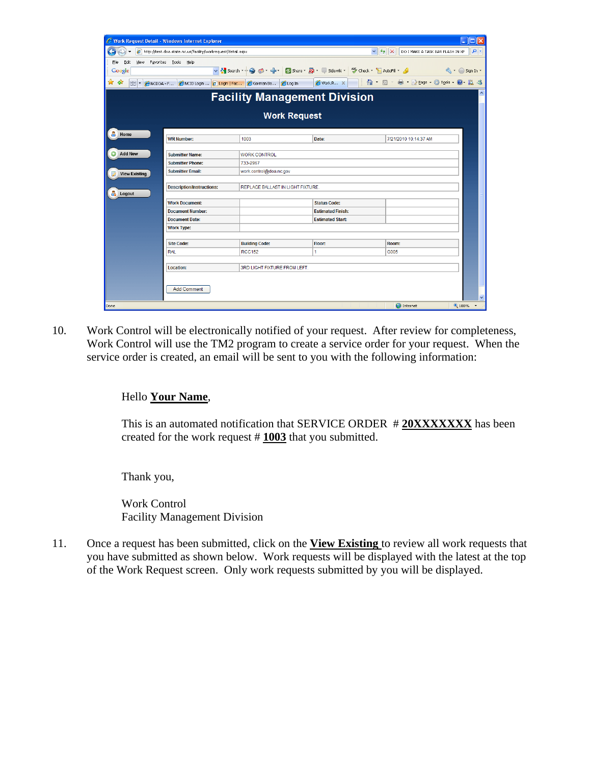| $\Box$ $\Box$ $\times$<br>C Work Request Detail - Windows Internet Explorer                                                                                   |                                                                                                          |                                     |                          |                                        |                     |  |  |  |
|---------------------------------------------------------------------------------------------------------------------------------------------------------------|----------------------------------------------------------------------------------------------------------|-------------------------------------|--------------------------|----------------------------------------|---------------------|--|--|--|
| $\vee$ $\left  \leftarrow \right $ $\times$<br>$\rho$ .<br>DO I MAKE A TASK BAR FLASH IN XP<br>e http://test.doa.state.nc.us/facility/workrequest/detail.aspx |                                                                                                          |                                     |                          |                                        |                     |  |  |  |
| Edit<br>File<br>View                                                                                                                                          | Favorites Tools Help                                                                                     |                                     |                          |                                        |                     |  |  |  |
| Google                                                                                                                                                        | v < Search → → ● ◎ → 中 → ② Share → ⑤ → □ Sidewiki → ツ Check → 日 AutoFill → △<br>$\mathbb{Q}$ + Sign In + |                                     |                          |                                        |                     |  |  |  |
| ☆☆<br>88<br><b>CICDOA - F</b>                                                                                                                                 | NCID Login <b>2</b> Login   Fac                                                                          | e Log In<br>Gorman Ba               | Work R X                 | i 奋 Ы - ⇔ Dr Brege - @ Tools - @ - 以 る |                     |  |  |  |
|                                                                                                                                                               |                                                                                                          | <b>Facility Management Division</b> |                          |                                        | $\hat{\phantom{a}}$ |  |  |  |
| <b>Work Request</b>                                                                                                                                           |                                                                                                          |                                     |                          |                                        |                     |  |  |  |
| 8<br>Home                                                                                                                                                     |                                                                                                          |                                     |                          |                                        |                     |  |  |  |
|                                                                                                                                                               | <b>WR Number:</b>                                                                                        | 1003                                | Date:                    | 7/21/2010 10:14:37 AM                  |                     |  |  |  |
| <b>Add New</b>                                                                                                                                                | <b>Submitter Name:</b>                                                                                   | <b>WORK CONTROL</b>                 |                          |                                        |                     |  |  |  |
|                                                                                                                                                               | <b>Submitter Phone:</b>                                                                                  | 733-2967                            |                          |                                        |                     |  |  |  |
| <b>View Existing</b>                                                                                                                                          | <b>Submitter Email:</b>                                                                                  | work.control@doa.nc.gov             |                          |                                        |                     |  |  |  |
|                                                                                                                                                               |                                                                                                          |                                     |                          |                                        |                     |  |  |  |
|                                                                                                                                                               | <b>Description/Instructions:</b><br>REPLACE BALLAST IN LIGHT FIXTURE.                                    |                                     |                          |                                        |                     |  |  |  |
| <b>&amp;</b> Logout                                                                                                                                           |                                                                                                          |                                     |                          |                                        |                     |  |  |  |
|                                                                                                                                                               | <b>Work Document:</b>                                                                                    |                                     | <b>Status Code:</b>      |                                        |                     |  |  |  |
|                                                                                                                                                               | <b>Document Number:</b>                                                                                  |                                     | <b>Estimated Finish:</b> |                                        |                     |  |  |  |
|                                                                                                                                                               | <b>Document Date:</b>                                                                                    |                                     | <b>Estimated Start:</b>  |                                        |                     |  |  |  |
|                                                                                                                                                               | <b>Work Type:</b>                                                                                        |                                     |                          |                                        |                     |  |  |  |
|                                                                                                                                                               | <b>Site Code:</b>                                                                                        | <b>Building Code:</b>               | Floor:                   | Room:                                  |                     |  |  |  |
|                                                                                                                                                               | <b>RAL</b>                                                                                               | <b>RCC152</b>                       | 1.                       | G005                                   |                     |  |  |  |
|                                                                                                                                                               |                                                                                                          |                                     |                          |                                        |                     |  |  |  |
|                                                                                                                                                               | Location:                                                                                                | 3RD LIGHT FIXTURE FROM LEFT.        |                          |                                        |                     |  |  |  |
|                                                                                                                                                               | <b>Add Comment</b>                                                                                       |                                     |                          |                                        | ×                   |  |  |  |
| Done                                                                                                                                                          |                                                                                                          |                                     |                          | $\bigoplus$ Internet<br>€ 100%         |                     |  |  |  |

10. Work Control will be electronically notified of your request. After review for completeness, Work Control will use the TM2 program to create a service order for your request. When the service order is created, an email will be sent to you with the following information:

# Hello **Your Name**,

This is an automated notification that SERVICE ORDER #20XXXXXXX has been created for the work request # **1003** that you submitted.

Thank you,

Work Control Facility Management Division

11. Once a request has been submitted, click on the **View Existing** to review all work requests that you have submitted as shown below. Work requests will be displayed with the latest at the top of the Work Request screen. Only work requests submitted by you will be displayed.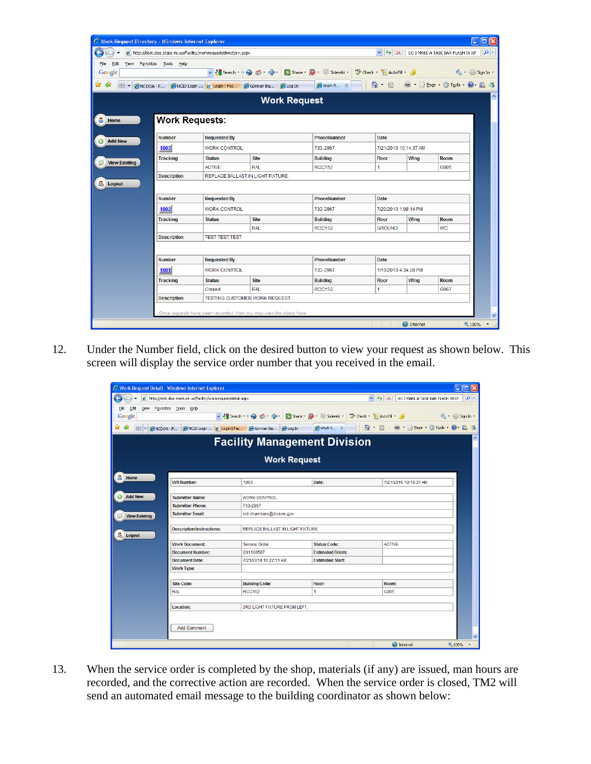| C Work Request Directory - Windows Internet Explorer<br>lial<br>$\sim$                                                                                                     |                       |                                            |                                   |                                                                                                               |               |                       |             |                                                                              |
|----------------------------------------------------------------------------------------------------------------------------------------------------------------------------|-----------------------|--------------------------------------------|-----------------------------------|---------------------------------------------------------------------------------------------------------------|---------------|-----------------------|-------------|------------------------------------------------------------------------------|
| $\vee$ $\frac{1}{2}$ $\times$<br>Q<br>e http://test.doa.state.nc.us/facility/workrequest/directory.aspx<br>DO I MAKE A TASK BAR FLASH IN XP                                |                       |                                            |                                   |                                                                                                               |               |                       |             |                                                                              |
| View<br>File<br>Edit                                                                                                                                                       | Favorites Tools Help  |                                            |                                   |                                                                                                               |               |                       |             |                                                                              |
| Google                                                                                                                                                                     |                       |                                            |                                   | v <mark>*</mark> Search → ● ● → 中 → ● Share → <mark>◆</mark> + ■ Sidewiki + → → Check + ■ AutoFill + <u>◆</u> |               |                       |             | $\left\langle \left\langle \cdot\right\rangle \right\rangle$ Sign In $\cdot$ |
| <b>合 回 最 2 Page - @ Tools - @ 以 3</b><br>☆<br>47<br>NCID Login <b>2</b> Login   Fac <b>2</b> Gorman Ba <b>2</b> Log In<br>WorkR X<br>88<br>NCDOA-F<br>$\blacktriangledown$ |                       |                                            |                                   |                                                                                                               |               |                       |             |                                                                              |
| <b>Work Request</b>                                                                                                                                                        |                       |                                            |                                   |                                                                                                               |               |                       |             |                                                                              |
| А<br>Home                                                                                                                                                                  | <b>Work Requests:</b> |                                            |                                   |                                                                                                               |               |                       |             |                                                                              |
| <b>Add New</b>                                                                                                                                                             | <b>Number</b>         | <b>Requested By</b>                        |                                   | PhoneNumber                                                                                                   | Date          |                       |             |                                                                              |
|                                                                                                                                                                            | 1003                  | <b>WORK CONTROL</b>                        |                                   | 733-2967                                                                                                      |               | 7/21/2010 10:14:37 AM |             |                                                                              |
| <b>View Existing</b>                                                                                                                                                       | <b>Tracking</b>       | <b>Status</b>                              | <b>Site</b>                       | <b>Building</b>                                                                                               | <b>Floor</b>  | Wing                  | Room        |                                                                              |
|                                                                                                                                                                            |                       | <b>ACTIVE</b>                              | <b>RAL</b>                        | <b>RCC152</b>                                                                                                 | 1             |                       | G005        |                                                                              |
|                                                                                                                                                                            | <b>Description</b>    |                                            | REPLACE BALLAST IN LIGHT FIXTURE. |                                                                                                               |               |                       |             |                                                                              |
| å.<br>Logout                                                                                                                                                               |                       |                                            |                                   |                                                                                                               |               |                       |             |                                                                              |
|                                                                                                                                                                            | <b>Number</b>         | PhoneNumber<br>Date<br><b>Requested By</b> |                                   |                                                                                                               |               |                       |             |                                                                              |
|                                                                                                                                                                            | 1002                  | <b>WORK CONTROL</b>                        |                                   | 733-2967                                                                                                      |               | 7/20/2010 1:09:14 PM  |             |                                                                              |
|                                                                                                                                                                            | <b>Tracking</b>       | <b>Status</b>                              | <b>Site</b>                       | <b>Building</b>                                                                                               | <b>Floor</b>  | Wing                  | <b>Room</b> |                                                                              |
|                                                                                                                                                                            |                       |                                            | <b>RAL</b>                        | <b>RCC152</b>                                                                                                 | <b>GROUND</b> |                       | WС          |                                                                              |
|                                                                                                                                                                            | <b>Description</b>    | <b>TEST TEST TEST</b>                      |                                   |                                                                                                               |               |                       |             |                                                                              |
|                                                                                                                                                                            |                       |                                            |                                   |                                                                                                               |               |                       |             |                                                                              |
|                                                                                                                                                                            | <b>Number</b>         | <b>Requested By</b>                        |                                   | PhoneNumber                                                                                                   | Date          |                       |             |                                                                              |
|                                                                                                                                                                            | 1001                  | <b>WORK CONTROL</b>                        |                                   | 733-2967                                                                                                      |               | 7/19/2010 4:34:20 PM  |             |                                                                              |
|                                                                                                                                                                            | <b>Tracking</b>       | <b>Status</b>                              | <b>Site</b>                       | <b>Building</b>                                                                                               | <b>Floor</b>  | Wing                  | Room        |                                                                              |
|                                                                                                                                                                            |                       | Closed                                     | <b>RAL</b>                        | <b>RCC152</b>                                                                                                 | 1             |                       | G067        |                                                                              |
|                                                                                                                                                                            | <b>Description</b>    |                                            | TESTING CUSTOMER WORK REQUEST.    |                                                                                                               |               |                       |             |                                                                              |
| Once requests have been recorded, then you may view the status here.                                                                                                       |                       |                                            |                                   |                                                                                                               |               |                       |             |                                                                              |
|                                                                                                                                                                            |                       |                                            |                                   |                                                                                                               |               | $\bigoplus$ Internet  |             | v<br><b>4 100%</b>                                                           |
|                                                                                                                                                                            |                       |                                            |                                   |                                                                                                               |               |                       |             |                                                                              |

12. Under the Number field, click on the desired button to view your request as shown below. This screen will display the service order number that you received in the email.

|                                                                                                                              | C Work Request Detail - Windows Internet Explorer                     |                                                    |                          |                                   | n            |  |  |  |  |
|------------------------------------------------------------------------------------------------------------------------------|-----------------------------------------------------------------------|----------------------------------------------------|--------------------------|-----------------------------------|--------------|--|--|--|--|
| $\vee$ $\frac{1}{2}$ X<br>c http://test.doa.state.nc.us/facility/workrequest/detail.aspx<br>DO I MAKE A TASK BAR FLASH IN XP |                                                                       |                                                    |                          |                                   |              |  |  |  |  |
| File<br>Edit                                                                                                                 | View Favorites Tools Help                                             |                                                    |                          |                                   |              |  |  |  |  |
| Google                                                                                                                       |                                                                       |                                                    |                          |                                   | Sign In *    |  |  |  |  |
| ☆<br>-97<br>88<br>NCDOA - F<br>$\overline{\phantom{a}}$                                                                      |                                                                       | NCID Login  2 Login   Fac   C Gorman Ba   C Log In | Work R X                 | <b>台 回 最 2 Bage 台 Tools Q 以 3</b> |              |  |  |  |  |
| $\hat{\phantom{a}}$<br><b>Facility Management Division</b>                                                                   |                                                                       |                                                    |                          |                                   |              |  |  |  |  |
| <b>Work Request</b>                                                                                                          |                                                                       |                                                    |                          |                                   |              |  |  |  |  |
| A<br>Home                                                                                                                    | <b>WR Number:</b>                                                     | 1003                                               | Date:                    | 7/21/2010 10:14:37 AM             |              |  |  |  |  |
| $\odot$<br><b>Add New</b>                                                                                                    | <b>Submitter Name:</b>                                                | WORK CONTROL                                       |                          |                                   |              |  |  |  |  |
|                                                                                                                              | 733-2967<br><b>Submitter Phone:</b>                                   |                                                    |                          |                                   |              |  |  |  |  |
| <b>View Existing</b>                                                                                                         | <b>Submitter Email:</b>                                               | sid.chambers@doa.nc.gov                            |                          |                                   |              |  |  |  |  |
| a.<br>Logout                                                                                                                 | <b>Description/Instructions:</b><br>REPLACE BALLAST IN LIGHT FIXTURE. |                                                    |                          |                                   |              |  |  |  |  |
|                                                                                                                              | <b>Work Document:</b>                                                 | <b>Service Order</b>                               | <b>Status Code:</b>      | <b>ACTIVE</b>                     |              |  |  |  |  |
|                                                                                                                              | <b>Document Number:</b>                                               | 201100587                                          | <b>Estimated Finish:</b> |                                   |              |  |  |  |  |
|                                                                                                                              | <b>Document Date:</b>                                                 | 7/21/2010 10:22:11 AM                              | <b>Estimated Start:</b>  |                                   |              |  |  |  |  |
|                                                                                                                              | <b>Work Type:</b>                                                     |                                                    |                          |                                   |              |  |  |  |  |
|                                                                                                                              |                                                                       |                                                    |                          |                                   |              |  |  |  |  |
|                                                                                                                              | <b>Site Code:</b>                                                     | <b>Building Code:</b>                              | Floor:                   | Room:                             |              |  |  |  |  |
|                                                                                                                              | <b>RAL</b>                                                            | <b>RCC152</b>                                      | 1                        | G005                              |              |  |  |  |  |
|                                                                                                                              | Location:                                                             | 3RD LIGHT FIXTURE FROM LEFT.                       |                          |                                   |              |  |  |  |  |
|                                                                                                                              | <b>Add Comment</b>                                                    |                                                    |                          |                                   | $\checkmark$ |  |  |  |  |
|                                                                                                                              |                                                                       |                                                    |                          | <b>O</b> Internet                 | 电100% *      |  |  |  |  |

13. When the service order is completed by the shop, materials (if any) are issued, man hours are recorded, and the corrective action are recorded. When the service order is closed, TM2 will send an automated email message to the building coordinator as shown below: